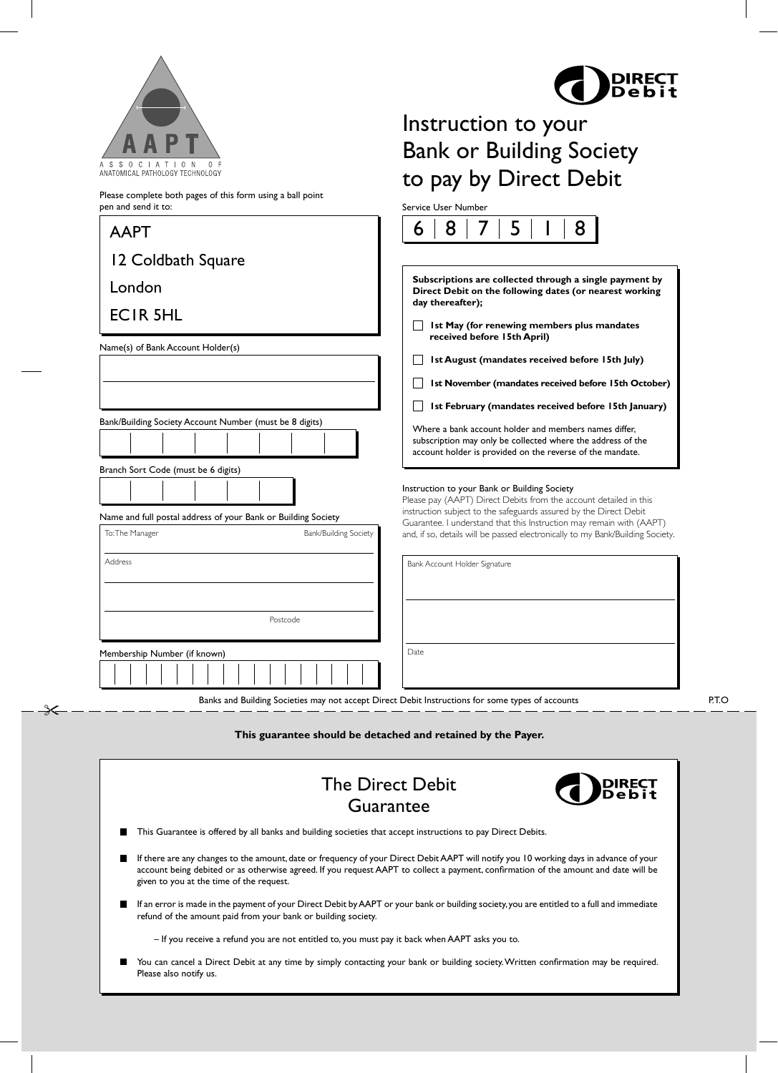

Please complete both pages of this form using a ball point

Ӿ



## Instruction to your Bank or Building Society to pay by Direct Debit

Service User Number

| pen and send it to:                                                                                                                              | <b>Service User Number</b>                                                                                                                                                                                                                                                                                                                                                                                                                                                   |
|--------------------------------------------------------------------------------------------------------------------------------------------------|------------------------------------------------------------------------------------------------------------------------------------------------------------------------------------------------------------------------------------------------------------------------------------------------------------------------------------------------------------------------------------------------------------------------------------------------------------------------------|
| <b>AAPT</b>                                                                                                                                      | 8<br>8<br>5<br>6                                                                                                                                                                                                                                                                                                                                                                                                                                                             |
| 12 Coldbath Square<br>London<br><b>ECIR 5HL</b><br>Name(s) of Bank Account Holder(s)<br>Bank/Building Society Account Number (must be 8 digits)  | Subscriptions are collected through a single payment by<br>Direct Debit on the following dates (or nearest working<br>day thereafter);<br>Ist May (for renewing members plus mandates<br>received before 15th April)<br>Ist August (mandates received before 15th July)<br>1st November (mandates received before 15th October)<br>Ist February (mandates received before 15th January)<br>Where a bank account holder and members names differ,                             |
| Branch Sort Code (must be 6 digits)<br>Name and full postal address of your Bank or Building Society<br>To: The Manager<br>Bank/Building Society | subscription may only be collected where the address of the<br>account holder is provided on the reverse of the mandate.<br>Instruction to your Bank or Building Society<br>Please pay (AAPT) Direct Debits from the account detailed in this<br>instruction subject to the safeguards assured by the Direct Debit<br>Guarantee. I understand that this Instruction may remain with (AAPT)<br>and, if so, details will be passed electronically to my Bank/Building Society. |
| <b>Address</b><br>Postcode                                                                                                                       | Bank Account Holder Signature                                                                                                                                                                                                                                                                                                                                                                                                                                                |
| Membership Number (if known)                                                                                                                     | Date                                                                                                                                                                                                                                                                                                                                                                                                                                                                         |

Banks and Building Societies may not accept Direct Debit Instructions for some types of accounts

**This guarantee should be detached and retained by the Payer.**

| <b>DIRECT</b><br><b>The Direct Debit</b><br>Guarantee                                                                                                                                                                                                                                                                     |  |  |
|---------------------------------------------------------------------------------------------------------------------------------------------------------------------------------------------------------------------------------------------------------------------------------------------------------------------------|--|--|
| This Guarantee is offered by all banks and building societies that accept instructions to pay Direct Debits.                                                                                                                                                                                                              |  |  |
| If there are any changes to the amount, date or frequency of your Direct Debit AAPT will notify you 10 working days in advance of your<br>account being debited or as otherwise agreed. If you request AAPT to collect a payment, confirmation of the amount and date will be<br>given to you at the time of the request. |  |  |
| If an error is made in the payment of your Direct Debit by AAPT or your bank or building society, you are entitled to a full and immediate<br>refund of the amount paid from your bank or building society.                                                                                                               |  |  |
| - If you receive a refund you are not entitled to, you must pay it back when AAPT asks you to.                                                                                                                                                                                                                            |  |  |
| You can cancel a Direct Debit at any time by simply contacting your bank or building society. Written confirmation may be required.<br>Please also notify us.                                                                                                                                                             |  |  |